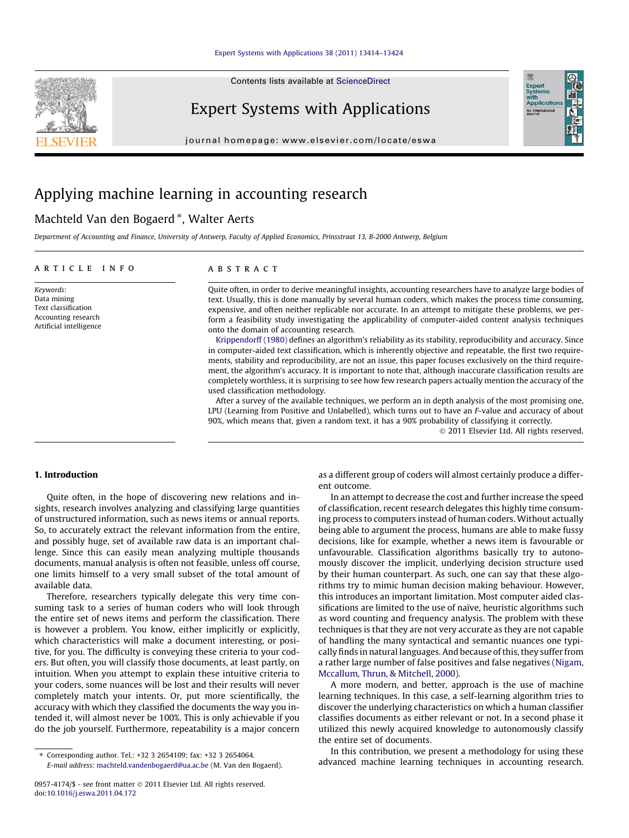#### [Expert Systems with Applications 38 \(2011\) 13414–13424](http://dx.doi.org/10.1016/j.eswa.2011.04.172)

Contents lists available at [ScienceDirect](http://www.sciencedirect.com/science/journal/09574174)



Expert Systems with Applications

journal homepage: [www.elsevier.com/locate/eswa](http://www.elsevier.com/locate/eswa)



# Applying machine learning in accounting research

## Machteld Van den Bogaerd \*, Walter Aerts

Department of Accounting and Finance, University of Antwerp, Faculty of Applied Economics, Prinsstraat 13, B-2000 Antwerp, Belgium

### article info

Keywords: Data mining Text classification Accounting research Artificial intelligence

### ABSTRACT

Quite often, in order to derive meaningful insights, accounting researchers have to analyze large bodies of text. Usually, this is done manually by several human coders, which makes the process time consuming, expensive, and often neither replicable nor accurate. In an attempt to mitigate these problems, we perform a feasibility study investigating the applicability of computer-aided content analysis techniques onto the domain of accounting research.

[Krippendorff \(1980\)](#page--1-0) defines an algorithm's reliability as its stability, reproducibility and accuracy. Since in computer-aided text classification, which is inherently objective and repeatable, the first two requirements, stability and reproducibility, are not an issue, this paper focuses exclusively on the third requirement, the algorithm's accuracy. It is important to note that, although inaccurate classification results are completely worthless, it is surprising to see how few research papers actually mention the accuracy of the used classification methodology.

After a survey of the available techniques, we perform an in depth analysis of the most promising one, LPU (Learning from Positive and Unlabelled), which turns out to have an F-value and accuracy of about 90%, which means that, given a random text, it has a 90% probability of classifying it correctly. - 2011 Elsevier Ltd. All rights reserved.

1. Introduction

Quite often, in the hope of discovering new relations and insights, research involves analyzing and classifying large quantities of unstructured information, such as news items or annual reports. So, to accurately extract the relevant information from the entire, and possibly huge, set of available raw data is an important challenge. Since this can easily mean analyzing multiple thousands documents, manual analysis is often not feasible, unless off course, one limits himself to a very small subset of the total amount of available data.

Therefore, researchers typically delegate this very time consuming task to a series of human coders who will look through the entire set of news items and perform the classification. There is however a problem. You know, either implicitly or explicitly, which characteristics will make a document interesting, or positive, for you. The difficulty is conveying these criteria to your coders. But often, you will classify those documents, at least partly, on intuition. When you attempt to explain these intuitive criteria to your coders, some nuances will be lost and their results will never completely match your intents. Or, put more scientifically, the accuracy with which they classified the documents the way you intended it, will almost never be 100%. This is only achievable if you do the job yourself. Furthermore, repeatability is a major concern

⇑ Corresponding author. Tel.: +32 3 2654109; fax: +32 3 2654064. E-mail address: [machteld.vandenbogaerd@ua.ac.be](mailto:machteld.vandenbogaerd@ua.ac.be) (M. Van den Bogaerd). as a different group of coders will almost certainly produce a different outcome.

In an attempt to decrease the cost and further increase the speed of classification, recent research delegates this highly time consuming process to computers instead of human coders. Without actually being able to argument the process, humans are able to make fussy decisions, like for example, whether a news item is favourable or unfavourable. Classification algorithms basically try to autonomously discover the implicit, underlying decision structure used by their human counterpart. As such, one can say that these algorithms try to mimic human decision making behaviour. However, this introduces an important limitation. Most computer aided classifications are limited to the use of naïve, heuristic algorithms such as word counting and frequency analysis. The problem with these techniques is that they are not very accurate as they are not capable of handling the many syntactical and semantic nuances one typically finds in natural languages. And because of this, they suffer from a rather large number of false positives and false negatives [\(Nigam,](#page--1-0) [Mccallum, Thrun, & Mitchell, 2000](#page--1-0)).

A more modern, and better, approach is the use of machine learning techniques. In this case, a self-learning algorithm tries to discover the underlying characteristics on which a human classifier classifies documents as either relevant or not. In a second phase it utilized this newly acquired knowledge to autonomously classify the entire set of documents.

In this contribution, we present a methodology for using these advanced machine learning techniques in accounting research.

<sup>0957-4174/\$ -</sup> see front matter © 2011 Elsevier Ltd. All rights reserved. doi:[10.1016/j.eswa.2011.04.172](http://dx.doi.org/10.1016/j.eswa.2011.04.172)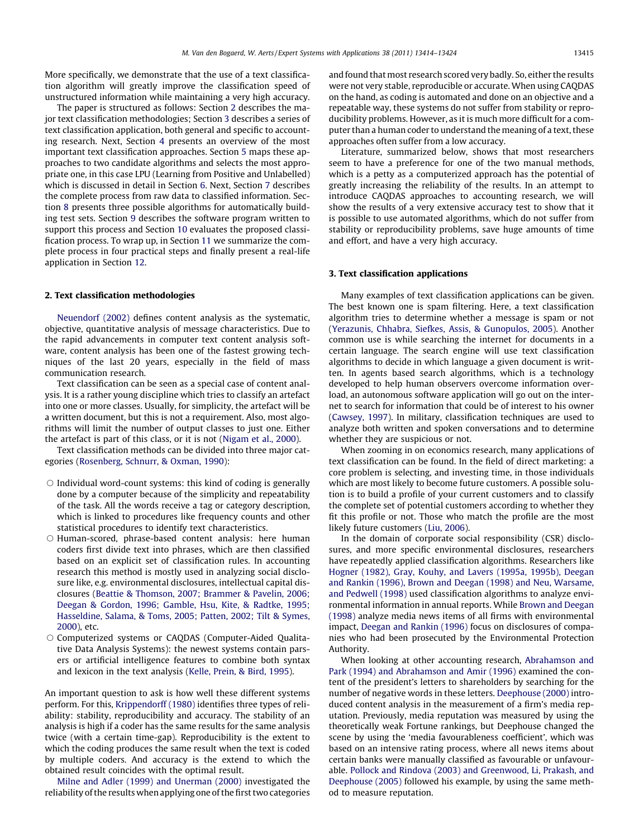More specifically, we demonstrate that the use of a text classification algorithm will greatly improve the classification speed of unstructured information while maintaining a very high accuracy.

The paper is structured as follows: Section 2 describes the major text classification methodologies; Section 3 describes a series of text classification application, both general and specific to accounting research. Next, Section [4](#page--1-0) presents an overview of the most important text classification approaches. Section [5](#page--1-0) maps these approaches to two candidate algorithms and selects the most appropriate one, in this case LPU (Learning from Positive and Unlabelled) which is discussed in detail in Section [6](#page--1-0). Next, Section [7](#page--1-0) describes the complete process from raw data to classified information. Section [8](#page--1-0) presents three possible algorithms for automatically building test sets. Section [9](#page--1-0) describes the software program written to support this process and Section [10](#page--1-0) evaluates the proposed classification process. To wrap up, in Section [11](#page--1-0) we summarize the complete process in four practical steps and finally present a real-life application in Section [12](#page--1-0).

### 2. Text classification methodologies

[Neuendorf \(2002\)](#page--1-0) defines content analysis as the systematic, objective, quantitative analysis of message characteristics. Due to the rapid advancements in computer text content analysis software, content analysis has been one of the fastest growing techniques of the last 20 years, especially in the field of mass communication research.

Text classification can be seen as a special case of content analysis. It is a rather young discipline which tries to classify an artefact into one or more classes. Usually, for simplicity, the artefact will be a written document, but this is not a requirement. Also, most algorithms will limit the number of output classes to just one. Either the artefact is part of this class, or it is not ([Nigam et al., 2000](#page--1-0)).

Text classification methods can be divided into three major categories [\(Rosenberg, Schnurr, & Oxman, 1990](#page--1-0)):

- $\circ$  Individual word-count systems: this kind of coding is generally done by a computer because of the simplicity and repeatability of the task. All the words receive a tag or category description, which is linked to procedures like frequency counts and other statistical procedures to identify text characteristics.
- $\circ$  Human-scored, phrase-based content analysis: here human coders first divide text into phrases, which are then classified based on an explicit set of classification rules. In accounting research this method is mostly used in analyzing social disclosure like, e.g. environmental disclosures, intellectual capital disclosures ([Beattie & Thomson, 2007; Brammer & Pavelin, 2006;](#page--1-0) [Deegan & Gordon, 1996; Gamble, Hsu, Kite, & Radtke, 1995;](#page--1-0) [Hasseldine, Salama, & Toms, 2005; Patten, 2002; Tilt & Symes,](#page--1-0) [2000\)](#page--1-0), etc.
- O Computerized systems or CAQDAS (Computer-Aided Qualitative Data Analysis Systems): the newest systems contain parsers or artificial intelligence features to combine both syntax and lexicon in the text analysis ([Kelle, Prein, & Bird, 1995\)](#page--1-0).

An important question to ask is how well these different systems perform. For this, [Krippendorff \(1980\)](#page--1-0) identifies three types of reliability: stability, reproducibility and accuracy. The stability of an analysis is high if a coder has the same results for the same analysis twice (with a certain time-gap). Reproducibility is the extent to which the coding produces the same result when the text is coded by multiple coders. And accuracy is the extend to which the obtained result coincides with the optimal result.

[Milne and Adler \(1999\) and Unerman \(2000\)](#page--1-0) investigated the reliability of the results when applying one of the first two categories and found that most research scored very badly. So, either the results were not very stable, reproducible or accurate. When using CAQDAS on the hand, as coding is automated and done on an objective and a repeatable way, these systems do not suffer from stability or reproducibility problems. However, as it is much more difficult for a computer than a human coder to understand the meaning of a text, these approaches often suffer from a low accuracy.

Literature, summarized below, shows that most researchers seem to have a preference for one of the two manual methods, which is a petty as a computerized approach has the potential of greatly increasing the reliability of the results. In an attempt to introduce CAQDAS approaches to accounting research, we will show the results of a very extensive accuracy test to show that it is possible to use automated algorithms, which do not suffer from stability or reproducibility problems, save huge amounts of time and effort, and have a very high accuracy.

#### 3. Text classification applications

Many examples of text classification applications can be given. The best known one is spam filtering. Here, a text classification algorithm tries to determine whether a message is spam or not ([Yerazunis, Chhabra, Siefkes, Assis, & Gunopulos, 2005\)](#page--1-0). Another common use is while searching the internet for documents in a certain language. The search engine will use text classification algorithms to decide in which language a given document is written. In agents based search algorithms, which is a technology developed to help human observers overcome information overload, an autonomous software application will go out on the internet to search for information that could be of interest to his owner ([Cawsey, 1997](#page--1-0)). In military, classification techniques are used to analyze both written and spoken conversations and to determine whether they are suspicious or not.

When zooming in on economics research, many applications of text classification can be found. In the field of direct marketing: a core problem is selecting, and investing time, in those individuals which are most likely to become future customers. A possible solution is to build a profile of your current customers and to classify the complete set of potential customers according to whether they fit this profile or not. Those who match the profile are the most likely future customers [\(Liu, 2006](#page--1-0)).

In the domain of corporate social responsibility (CSR) disclosures, and more specific environmental disclosures, researchers have repeatedly applied classification algorithms. Researchers like [Hogner \(1982\), Gray, Kouhy, and Lavers \(1995a, 1995b\), Deegan](#page--1-0) [and Rankin \(1996\), Brown and Deegan \(1998\) and Neu, Warsame,](#page--1-0) [and Pedwell \(1998\)](#page--1-0) used classification algorithms to analyze environmental information in annual reports. While [Brown and Deegan](#page--1-0) [\(1998\)](#page--1-0) analyze media news items of all firms with environmental impact, [Deegan and Rankin \(1996\)](#page--1-0) focus on disclosures of companies who had been prosecuted by the Environmental Protection Authority.

When looking at other accounting research, [Abrahamson and](#page--1-0) [Park \(1994\) and Abrahamson and Amir \(1996\)](#page--1-0) examined the content of the president's letters to shareholders by searching for the number of negative words in these letters. [Deephouse \(2000\)](#page--1-0) introduced content analysis in the measurement of a firm's media reputation. Previously, media reputation was measured by using the theoretically weak Fortune rankings, but Deephouse changed the scene by using the 'media favourableness coefficient', which was based on an intensive rating process, where all news items about certain banks were manually classified as favourable or unfavourable. [Pollock and Rindova \(2003\) and Greenwood, Li, Prakash, and](#page--1-0) [Deephouse \(2005\)](#page--1-0) followed his example, by using the same method to measure reputation.